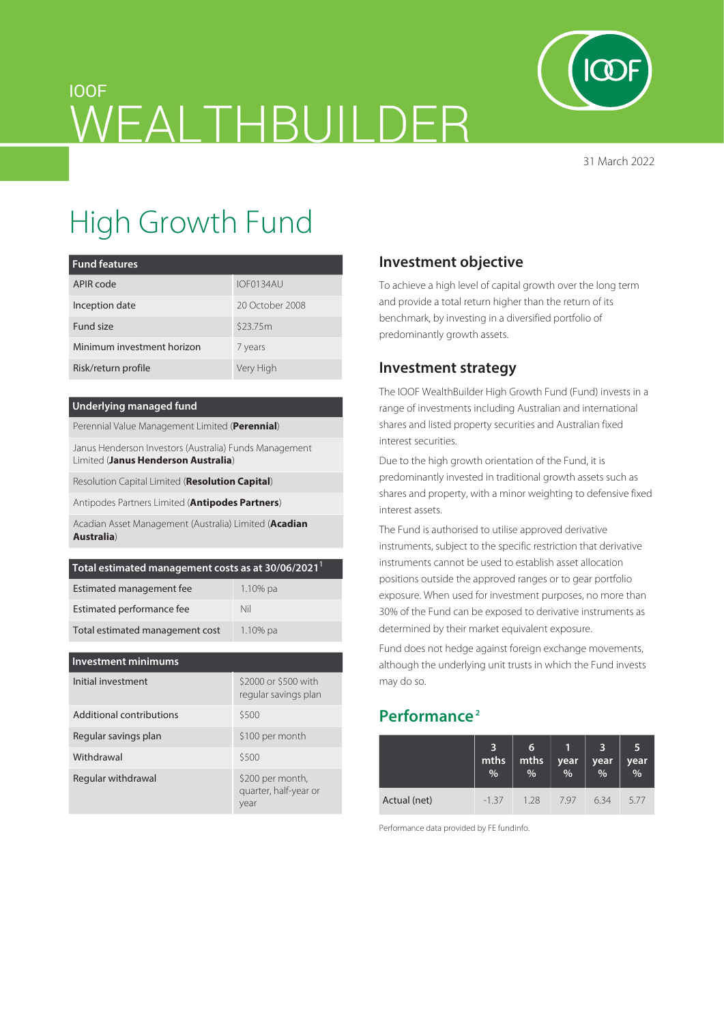

31 March 2022

# IOOF WEALTHBUILDER

# High Growth Fund

| <b>Fund features</b>       |                 |  |  |
|----------------------------|-----------------|--|--|
| APIR code                  | IOF0134AU       |  |  |
| Inception date             | 20 October 2008 |  |  |
| Fund size                  | \$23.75m        |  |  |
| Minimum investment horizon | 7 years         |  |  |
| Risk/return profile        | Very High       |  |  |

#### **Underlying managed fund**

Perennial Value Management Limited (**Perennial**)

Janus Henderson Investors (Australia) Funds Management Limited (**Janus Henderson Australia**)

Resolution Capital Limited (**Resolution Capital**)

Antipodes Partners Limited (**Antipodes Partners**)

Acadian Asset Management (Australia) Limited (**Acadian Australia**)

| Total estimated management costs as at 30/06/2021 <sup>1</sup> |             |  |  |  |
|----------------------------------------------------------------|-------------|--|--|--|
| Estimated management fee                                       | $1.10\%$ pa |  |  |  |
| Estimated performance fee                                      | Nil         |  |  |  |
| Total estimated management cost                                | $1.10\%$ pa |  |  |  |

| <b>Investment minimums</b> |                                                   |  |  |  |  |  |
|----------------------------|---------------------------------------------------|--|--|--|--|--|
| Initial investment         | \$2000 or \$500 with<br>regular savings plan      |  |  |  |  |  |
| Additional contributions   | \$500                                             |  |  |  |  |  |
| Regular savings plan       | \$100 per month                                   |  |  |  |  |  |
| Withdrawal                 | \$500                                             |  |  |  |  |  |
| Regular withdrawal         | \$200 per month,<br>quarter, half-year or<br>year |  |  |  |  |  |

## **Investment objective**

To achieve a high level of capital growth over the long term and provide a total return higher than the return of its benchmark, by investing in a diversified portfolio of predominantly growth assets.

### **Investment strategy**

The IOOF WealthBuilder High Growth Fund (Fund) invests in a range of investments including Australian and international shares and listed property securities and Australian fixed interest securities.

Due to the high growth orientation of the Fund, it is predominantly invested in traditional growth assets such as shares and property, with a minor weighting to defensive fixed interest assets.

The Fund is authorised to utilise approved derivative instruments, subject to the specific restriction that derivative instruments cannot be used to establish asset allocation positions outside the approved ranges or to gear portfolio exposure. When used for investment purposes, no more than 30% of the Fund can be exposed to derivative instruments as determined by their market equivalent exposure.

Fund does not hedge against foreign exchange movements, although the underlying unit trusts in which the Fund invests may do so.

# **Performance 2**

|              | mths<br>% | 6<br>mths<br>% | year<br>$\frac{1}{2}$ | year<br>% | 5<br>$year$ <sub>%</sub> |
|--------------|-----------|----------------|-----------------------|-----------|--------------------------|
| Actual (net) | $-1.37$   | 1 28           | 797                   | 634       | 5.77                     |

Performance data provided by FE fundinfo.